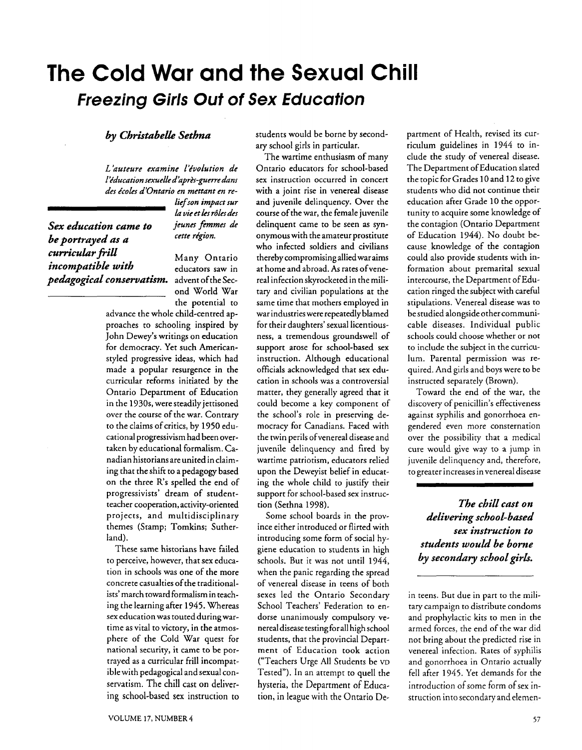# **The Cold War and the Sexual Chill Freezing Girls Out of Sex Education**

## *by Christabelle Sethna*

L'auteure examine l'évolution de *l 'kducation sexuelle d 'apr2s-perre dans*  des écoles d'Ontario en mettant en re-

**Sex education came to** *jeunes femm*<br>*he positioned no a cette région*. *be portrayed as a cumrrScu2.ar pill* Many Ontario *incompatible with* educators saw in *pedagogical conservatism.* advent of the Sec-

 $liefson$  *impact sur* la vie et les rôles des<br>*jeunes femmes de* 

ond World War the potential to

advance the whole child-centred approaches to schooling inspired by John Dewey's writings on education for democracy. Yet such Americanstyled progressive ideas, which had made a popular resurgence in the curricular reforms initiated by the Ontario Department of Education in the 1930s, were steadily jettisoned over the course of the war. Contrary to the claims of critics, by 1950 educational progressivism had been overtaken by educational formalism. Canadian historians are united in claiming that the shift to a pedagogy based on the three R's spelled the end of progressivists' dream of studentteacher cooperation, activity-oriented projects, and multidisciplinary themes (Stamp; Tomkins; Sutherland).

These same historians have failed to perceive, however, that sex education in schools was one of the more concrete casualties of the traditionalists' march toward formalism in teaching the learning after 1945. Whereas sex education was touted during wartime as vital to victory, in the atmosphere of the Cold War quest for national security, it came to be portrayed as a curricular frill incompatible with pedagogical and sexual conservatism. The chill cast on delivering school-based sex instruction to students would be borne by secondary school girls in particular.

The wartime enthusiasm of many Ontario educators for school-based sex instruction occurred in concert with a joint rise in venereal disease and juvenile delinquency. Over the course of the war, the female juvenile delinquent came to be seen as synonymous with the amateur prostitute who infected soldiers and civilians thereby compromising allied war aims at home and abroad. **As** rates ofvenereal infection skyrocketed in the military and civilian populations at the same time that mothers employed in war industries were repeatedly blamed for their daughters' sexual licentiousness, a tremendous groundswell of support arose for school-based sex instruction. Although educational officials acknowledged that sex education in schools was a controversial matter, they generally agreed that it could become a key component of the school's role in preserving democracy for Canadians. Faced with the twin perils ofvenereal disease and juvenile delinquency and fired by wartime patriotism, educators relied upon the Deweyist belief in educating the whole child to justify their support for school-based sex instruction (Sethna 1998).

Some school boards in the province either introduced or flirted with introducing some form of social hygiene education to students in high schools. But it was not until 1944, when the panic regarding the spread of venereal disease in teens of both sexes led the Ontario Secondary School Teachers' Federation to endorse unanimously compulsory venereal disease testing for all high school students, that the provincial Department of Education took action ("Teachers Urge All Students be **VD**  Tested"). In an attempt to quell the hysteria, the Department of Education, in league with the Ontario Department of Health, revised its curriculum guidelines in 1944 to include the study of venereal disease. The Department of Education slated the topic for Grades 10 and 12 to give students who did not continue their education after Grade 10 the opportunity to acquire some knowledge of the contagion (Ontario Department of Education 1944). No doubt because knowledge of the contagion could also provide students with information about premarital sexual intercourse, the Department of Education ringed the subject with careful stipulations. Venereal disease was to be studied alongside other communicable diseases. Individual public schools could choose whether or not to include the subject in the curriculum. Parental permission was required. And girls and boys were to be instructed separately (Brown).

Toward the end of the war, the discovery of penicillin's effectiveness against syphilis and gonorrhoea engendered even more consternation over the possibility that a medical cure would give way to a jump in juvenile delinquency and, therefore, to greater increases in venereal disease

*The chill cast on delivering schoo L based sex instruction to students would be borne*  by secondary school girls.

in teens. But due in part to the military campaign to distribute condoms and prophylactic kits to men in the armed forces, the end of the war did not bring about the predicted rise in venereal infection. Rates of syphilis and gonorrhoea in Ontario actually fell after 1945. Yet demands for the introduction of some form of sex instruction into secondary and elemen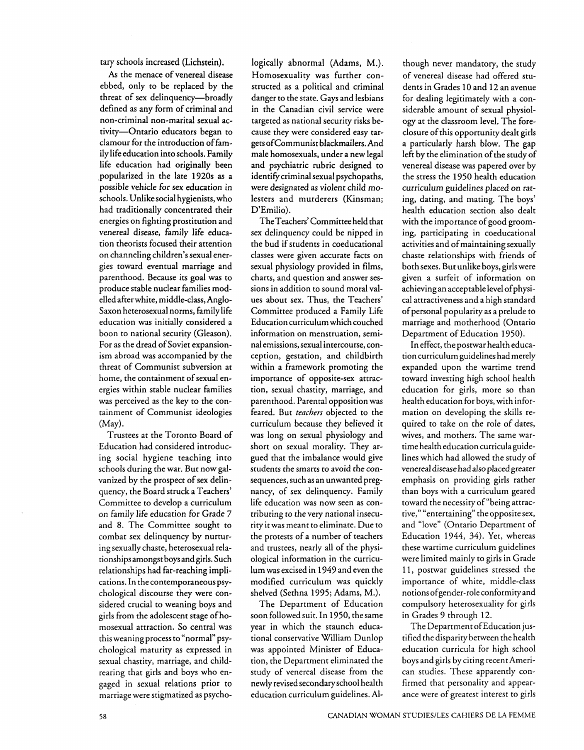tary schools increased (Lichstein).

**As** the menace of venereal disease ebbed, only to be replaced by the threat of sex delinquency-broadly defined as any form of criminal and non-criminal non-marital sexual activity-Ontario educators began to clamour for the introduction offamily life education into schools. Family life education had originally been popularized in the late 1920s as a possible vehicle for sex education in schools. Unlike social hygienists, who had traditionally concentrated their energies on fighting prostitution and venereal disease, family life education theorists focused their attention on channeling children's sexual energies toward eventual marriage and parenthood. Because its goal was to produce stable nuclear families modelled after white, middle-class, Anglo-Saxon heterosexual norms, family life education was initially considered a boon to national security (Gleason). For as the dread of Soviet expansionism abroad was accompanied by the threat of Communist subversion at home, the containment of sexual energies within stable nuclear families was perceived as the key to the containment of Communist ideologies (May).

Trustees at the Toronto Board of Education had considered introducing social hygiene teaching into schools during the war. But now galvanized by the prospect of sex delinquency, the Board struck a Teachers' Committee to develop a curriculum on family life education for Grade 7 and 8. The Committee sought to combat sex delinquency by nurturing sexually chaste, heterosexual relationships amongst boysandgirls. Such relationships had far-reaching implications. In the contemporaneous psychological discourse they were considered crucial to weaning boys and girls from the adolescent stage of homosexual attraction. So central was this weaning process to "normal" psychological maturity as expressed in sexual chastity, marriage, and childrearing that girls and boys who engaged in sexual relations prior to marriage were stigmatized as psychologically abnormal (Adams, M.). Homosexuality was further constructed as a political and criminal danger to the state. Gays and lesbians in the Canadian civil service were targeted as national security risks because they were considered easy targets of Communist blackmailers. And male homosexuals, under a new legal and psychiatric rubric designed to identify criminal sexual psychopaths, were designated as violent child molesters and murderers (Kinsman; D'Emilio).

TheTeachers' Committee held that sex delinquency could be nipped in the bud if students in coeducational classes were given accurate facts on sexual physiology provided in films, charts, and question and answer sessions in addition to sound moral values about sex. Thus, the Teachers' Committee produced a Family Life Education curriculum which couched information on menstruation, seminal emissions, sexual intercourse, conception, gestation, and childbirth within a framework promoting the importance of opposite-sex attraction, sexual chastity, marriage, and parenthood. Parental opposition was feared. But teachers objected to the curriculum because they believed it was long on sexual physiology and short on sexual morality. They argued that the imbalance would give students the smarts to avoid the consequences, such as an unwanted pregnancy, of sex delinquency. Family life education was now seen as contributing to the very national insecurity it was meant to eliminate. Due to the protests of a number of teachers and trustees, nearly all of the physiological information in the curriculum was excised in 1949 and even the modified curriculum was quickly shelved (Sethna 1995; Adams, M.).

The Department of Education soon followed suit. In 1950, the same year in which the staunch educational conservative William Dunlop was appointed Minister of Education, the Department eliminated the study of venereal disease from the newly revised secondary school health education curriculum guidelines. Al-

though never mandatory, the study of venereal disease had offered students in Grades 10 and 12 an avenue for dealing legitimately with a considerable amount of sexual physiology at the classroom level. The foreclosure of this opportunity dealt girls a particularly harsh blow. The gap left by the elimination of the study of venereal disease was papered over by the stress the 1950 health education curriculum guidelines placed on rating, dating, and mating. The boys' health education section also dealt with the importance of good grooming, participating in coeducational activities and of maintaining sexually chaste relationships with friends of both sexes. But unlike boys, girlswere given a surfeit of information on achieving an acceptable level of physical attractiveness and a high standard<br>of personal popularity as a prelude to marriage and motherhood (Ontario Department of Education 1950).

In effect, the postwar health education curriculum guidelines had merely expanded upon the wartime trend toward investing high school health education for girls, more so than health education for boys, with information on developing the skills required to take on the role of dates, wives, and mothers. The same wartime health education curriculaguidelines which had allowed the study of venereal disease had also placed greater emphasis on providing girls rather than boys with a curriculum geared toward the necessity of "being attractive," "entertaining" the opposite sex, and "love" (Ontario Department of Education 1944, 34). Yet, whereas these wartime curriculum guidelines were limited mainly to girls in Grade 11, postwar guidelines stressed the importance of white, middle-class notions ofgender-role conformity and compulsory heterosexuality for girls in Grades 9 through 12.

The Department ofEducation justified the disparity between the health education curricula for high school boys and girls by citing recent American studies. These apparently confirmed that personality and appearance were of greatest interest to girls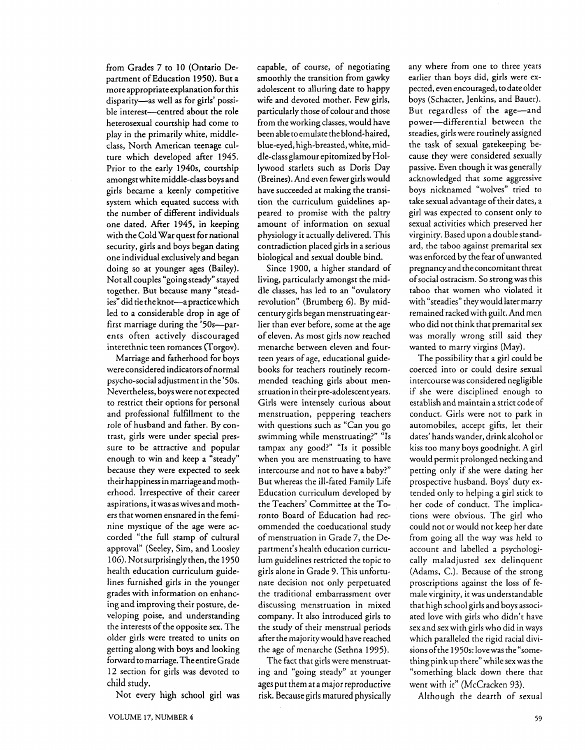from Grades 7 to 10 (Ontario Department of Education 1950). But a more appropriate explanation for this disparity-as well as for girls' possible interest-centred about the role heterosexual courtship had come to play in the primarily white, middleclass, North American teenage culture which developed after 1945. Prior to the early 1940s, courtship<br>amongst white middle-class boys and girls became a keenly competitive system which equated success with the number of different individuals one dated. After 1945, in keeping with the Cold War quest for national security, girls and boys began dating one individual exclusively and began doing so at younger ages (Bailey). Not all couples "going steady" stayed together. But because many "steadies" did tie the knot-apracticewhich led to a considerable drop in age of first marriage during the '50s-parents often actively discouraged interethnic teen romances (Torgov).

Marriage and fatherhood for boys<br>were considered indicators of normal psycho-social adjustment in the '50s. Nevertheless, boys were not expected to restrict their options for personal and professional fulfillment to the role of husband and father. By contrast, girls were under special pressure to be attractive and popular enough to win and keep a "steady" because they were expected to seek their happiness in marriageand motherhood. Irrespective of their career aspirations, it was as wives and mothers that women ensnared in the feminine mystique of the age were accorded "the full stamp of cultural approval" (Seeley, Sim, and Loosley 106). Not surprisingly then, the 1950 health education curriculum guidelines furnished girls in the younger grades with information on enhancing and improving their posture, developing poise, and understanding the interests of the opposite sex. The older girls were treated to units on getting along with boys and looking forward to marriage. TheentireGrade 12 section for girls was devoted to child study.

Not every high school girl was

capable, of course, of negotiating smoothly the transition from gawky adolescent to alluring date to happy wife and devoted mother. Few girls, particularly those of colour and those from the working classes, would have been able to emulate the blond-haired, blue-eyed, high-breasted, white, middle-class glamour epitomized by Hollywood starlets such as Doris Day (Breines). And even fewer girls would have succeeded at making the transition the curriculum guidelines appeared to promise with the paltry amount of information on sexual physiology it actually delivered. This contradiction placed girls in a serious biological and sexual double bind.

Since 1900, a higher standard of living, particularly amongst the middle classes, has led to an "ovulatory revolution" (Brumberg 6). By midcentury girls began menstruating earlier than ever before, some at the age of eleven. As most girls now reached menarche between eleven and fourteen years of age, educational guidebooks for teachers routinely recommended teaching girls about menstruation in their pre-adolescent years. Girls were intensely curious about menstruation, peppering teachers with questions such as "Can you go swimming while menstruating?" "Is tampax any good?" "Is it possible when you are menstruating to have intercourse and not to have a baby?" But whereas the ill-fated Family Life Education curriculum developed by the Teachers' Committee at the Toronto Board of Education had recommended the coeducational study of menstruation in Grade 7, the Department's health education curriculum guidelines restricted the topic to girls alone in Grade 9. This unfortunate decision not only perpetuated the traditional embarrassment over discussing menstruation in mixed company. It also introduced girls to the study of their menstrual periods after the majority would have reached the age of menarche (Sethna 1995).

The fact that girls were menstruating and "going steady" at younger ages put them at a major reproductive risk. Because girls matured physically any where from one to three years earlier than boys did, girls were expected, even encouraged, to date older boys (Schacter, Jenkins, and Bauer). But regardless of the age-and power-differential between the steadies, girls were routinely assigned the task of sexual gatekeeping because they were considered sexually passive. Even though it was generally acknowledged that some aggressive boys nicknamed "wolves" tried to take sexual advantage of their dates, a girl was expected to consent only to sexual activities which preserved her virginity. Based upon a double standard, the taboo against premarital sex was enforced by the fear of unwanted pregnancyand the concomitant threat ofsocial ostracism. So strong was this taboo that women who violated it with "steadies" they would later marry remained racked with guilt. And men who did not think that premarital sex was morally wrong still said they wanted to marry virgins (May).

The possibility that a girl could be coerced into or could desire sexual intercourse was considered negligible if she were disciplined enough to establish and maintain a strict code of conduct. Girls were not to park in automobiles, accept gifts, let their dates' hands wander, drink alcohol or kiss too many boys goodnight. A girl would permit prolonged necking and petting only if she were dating her prospective husband. Boys' duty extended only to helping a girl stick to her code of conduct. The implications were obvious. The girl who could not or would not keep her date from going all the way was held to account and labelled a psychologically maladjusted sex delinquent (Adams, C.). Because of the strong proscriptions against the loss of female virginity, it was understandable that high school girls and boys associated love with girls who didn't have sex and sex with girls who did in ways which paralleled the rigid racial divisions ofthe 1950s: love was the "something pink up there" while sexwas the "something black down there that went with it" (McCracken 93).

Although the dearth of sexual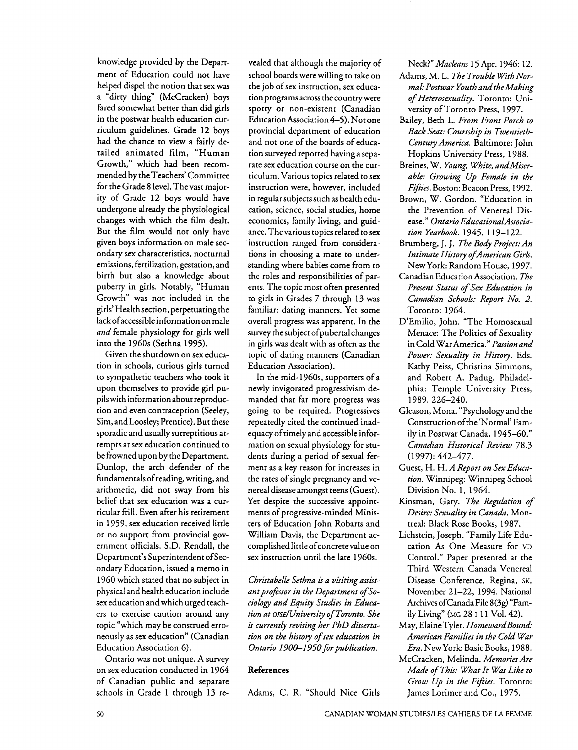knowledge provided by the Department of Education could not have helped dispel the notion that sex was a "dirty thing" (McCracken) boys fared somewhat better than did girls in the postwar health education curriculum guidelines. Grade 12 boys had the chance to view a fairly detailed animated film, "Human Growth," which had been recommended by theTeachers' Committee for the Grade 8 level. Thevast majority of Grade 12 boys would have undergone already the physiological changes with which the film dealt. But the film would not only have given boys information on male secondary sex characteristics, nocturnal emissions, fertilization, gestation, and birth but also a knowledge about puberty in girls. Notably, "Human Growth" was not included in the girls' Health section, perpetuating the lackofaccessible information on male *and* female physiology for girls well into the 1960s (Sethna 1995).

Given the shutdown on sex education in schools, curious girls turned to sympathetic teachers who took it upon themselves to provide girl pupils with information about reproduction and even contraception (Seeley, Sim, and Loosley; Prentice). But these sporadic and usually surreptitious attempts at sex education continued to be frowned upon by the Department. Dunlop, the arch defender of the fundamentals ofreading, writing, and arithmetic, did not sway from his belief that sex education was a curricular frill. Even after his retirement in 1959, sex education received little or no support from provincial government officials. S.D. Rendall, the Department's Superintendent of Secondary Education, issued a memo in 1960 which stated that no subject in physical and health education include sex education and which urged teachers to exercise caution around any topic "which may be construed erroneously as sex education" (Canadian Education Association 6).

Ontario was not unique. A survey on sex education conducted in 1964 of Canadian public and separate schools in Grade 1 through 13 re-

vealed that although the majority of school boards were willing to take on the job of sex instruction, sex education programs across the countrywere spotty or non-existent (Canadian Education Association 4-5). Not one provincial department of education and not one of the boards of education surveyed reported having a separate sex education course on the curriculum. Various topics related to sex instruction were, however, included in regular subjects such as health education, science, social studies, home economics, family living, and guidance. Thevarious topics related to sex instruction ranged from considerations in choosing a mate to understanding where babies come from to the roles and responsibilities of parents. The topic most ofien presented to girls in Grades 7 through 13 was familiar: dating manners. Yet some overall progress was apparent. In the survey the subject of pubertal changes in girls was dealt with as often as the topic of dating manners (Canadian Education Association).

In the mid-1960s, supporters of a newly invigorated progressivism demanded that far more progress was going to be required. Progressives repeatedly cited the continued inadequacy of timely and accessible information on sexual physiology for students during a period of sexual ferment as a key reason for increases in the rates of single pregnancy and venereal disease amongst teens (Guest). Yet despite the successive appointments of progressive-minded Ministers of Education John Robarts and William Davis, the Department accomplished little of concrete value on sex instruction until the late 1960s.

*Christabelle Sethna is a visiting assist*ant professor in the Department of So*cioloby and Equity Studies in Educa-* $$ *is currently revising her PhD dissertation on the history of sex education in Ontario 1900-I95Oforpublication.* 

#### References

Adams, C. R. "Should Nice Girls

Neck?" *Macleans* 15 Apr. 1946: 12.

- Adams, M. L. *The Trouble With Normal: Postwar Youth andthe Making of Heterosexuality.* Toronto: University of Toronto Press, 1997.
- Bailey, Beth L. *From Front Porch to Back Seat: Courtship in Twentieth-Century America.* Baltimore: John Hopkins University Press, 1988.
- Breines, W. *Young, White, andMiserable: Growing Up Female in the Fifties*. Boston: Beacon Press, 1992.
- Brown, W. Gordon. "Education in the Prevention of Venereal Disease." *Ontario EducationalAssociation Yearbook.* 1945. 119-122.
- Brumberg, J. J. *The Body Project: An Intimate History ofAmerican Girls.*  New York: Random House, 1997.
- Canadian Education Association. *The Present Status of Sex Education in Canadian Schools: Report No. 2.* Toronto: 1964.
- D'Emilio, John. "The Homosexual Menace: The Politics of Sexuality in Cold War America." *Pasionand Power: Sexuality in History.* Eds. Kathy Peiss, Christina Simmons, and Robert **A.** Padug. Philadelphia: Temple University Press, 1989.226-240.
- Gleason, Mona. "Psychology and the Construction of the 'Normal' Family in Postwar Canada, 1945-60." *Canadian Historical Review* 78.3 (1997): 442-477.
- Guest, H. H. *A Report on Sex Education.* Winnipeg: Winnipeg School Division No. 1, 1964.
- Kinsman, Gary. *The Regulation of Desire: Sexuality in Canada.* Montreal: Black Rose Books, 1987.
- Lichstein, Joseph. "Family Life Education As One Measure for VD Control." Paper presented at the Third Western Canada Venereal Disease Conference, Regina, **SK,**  November 21-22, 1994. National Archives ofCanada File 8(3g) "Family Living" (MG 28 I 11 Vol. 42).
- May, ElaineTyler. *HomewardBound: American Families in the Cold War*  Era.NewYork: BasicBooks, 1988.
- McCracken, Melinda. *Memories Are Made of This: What It Was Like to Grow Up in the Fifies.* Toronto: James Lorimer and Co., 1975.